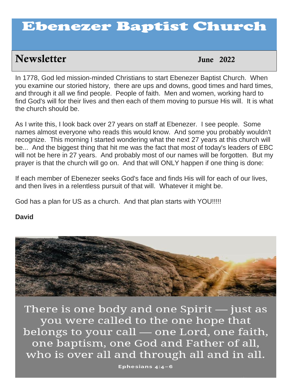# Ebenezer Baptist Church

## **Newsletter** *June 2022*

June  $2022$ 

you examine our storied history, there are ups and downs, good times and hard times, In 1778, God led mission-minded Christians to start Ebenezer Baptist Church. When and through it all we find people. People of faith. Men and women, working hard to find God's will for their lives and then each of them moving to pursue His will. It is what the church should be.

As I write this, I look back over 27 years on staff at Ebenezer. I see people. Some names almost everyone who reads this would know. And some you probably wouldn't recognize. This morning I started wondering what the next 27 years at this church will be... And the biggest thing that hit me was the fact that most of today's leaders of EBC will not be here in 27 years. And probably most of our names will be forgotten. But my prayer is that the church will go on. And that will ONLY happen if one thing is done:

If each member of Ebenezer seeks God's face and finds His will for each of our lives, and then lives in a relentless pursuit of that will. Whatever it might be.

God has a plan for US as a church. And that plan starts with YOU!!!!!

## **David**



There is one body and one Spirit  $-$  just as you were called to the one hope that belongs to your call — one Lord, one faith, one baptism, one God and Father of all, who is over all and through all and in all.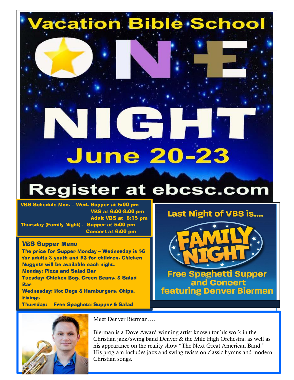# **/acation Bible School**

# **June 20-23**

# **Register at ebcsc.com**

VBS Schedule Mon. – Wed. Supper at 5:00 pm VBS at 6:00-8:00 pm Adult VBS at 6:15 pm Thursday (Family Night) - Supper at 5:00 pm Concert at 6:00 pm

### VBS Supper Menu

The price for Supper Monday – Wednesday is \$6 for adults & youth and \$3 for children. Chicken Nuggets will be available each night. Monday: Pizza and Salad Bar Tuesday: Chicken Bog, Green Beans, & Salad **Bar** Wednesday: Hot Dogs & Hamburgers, Chips, **Fixings** Thursday: Free Spaghetti Supper & Salad



**Free Spaghetti Supper** and Concert **featuring Denver Bierman** 



Meet Denver Bierman…..

Bierman is a Dove Award-winning artist known for his work in the Christian jazz/swing band Denver & the Mile High Orchestra, as well as his appearance on the reality show "The Next Great American Band." His program includes jazz and swing twists on classic hymns and modern Christian songs.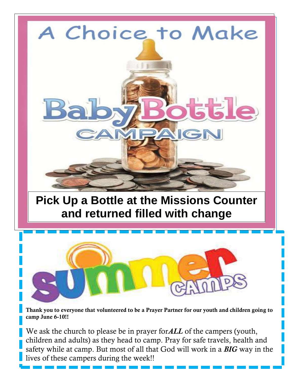

# **Pick Up a Bottle at the Missions Counter and returned filled with change**



**Thank you to everyone that volunteered to be a Prayer Partner for our youth and children going to camp June 6-10!!**

**A six week study beginning, Monday, March 9th at**  We ask the church to please be in prayer for*ALL* of the campers (youth, children and adults) as they head to camp. Pray for safe travels, health and safety while at camp. But most of all that God will work in a *BIG* way in the lives of these campers during the week!!

3